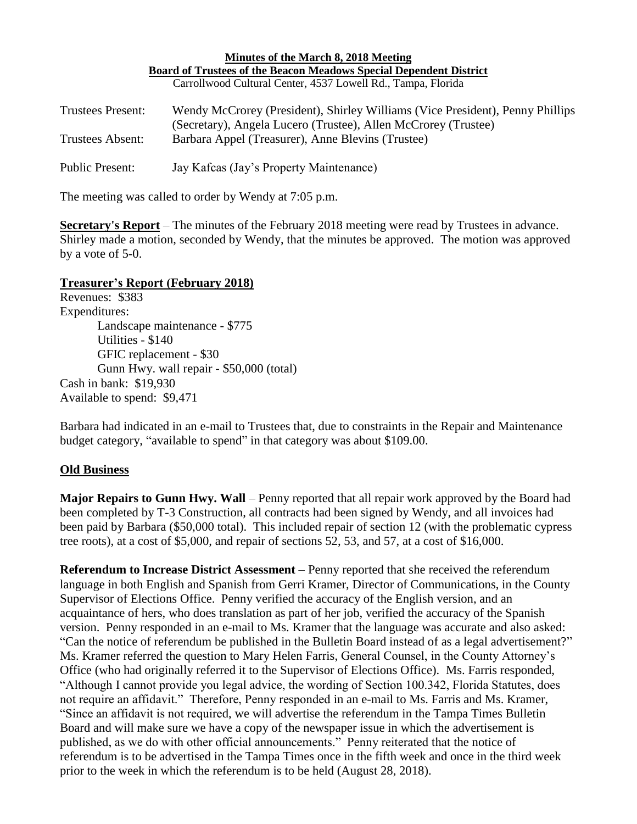| Minutes of the March 8, 2018 Meeting                                      |                                                                               |
|---------------------------------------------------------------------------|-------------------------------------------------------------------------------|
| <b>Board of Trustees of the Beacon Meadows Special Dependent District</b> |                                                                               |
|                                                                           | Carrollwood Cultural Center, 4537 Lowell Rd., Tampa, Florida                  |
|                                                                           |                                                                               |
| <b>Trustees Present:</b>                                                  | Wendy McCrorey (President), Shirley Williams (Vice President), Penny Phillips |
|                                                                           | (Secretary), Angela Lucero (Trustee), Allen McCrorey (Trustee)                |
| Trustees Absent:                                                          | Barbara Appel (Treasurer), Anne Blevins (Trustee)                             |
|                                                                           |                                                                               |
| Public Present:                                                           | Jay Kafcas (Jay's Property Maintenance)                                       |
|                                                                           |                                                                               |

The meeting was called to order by Wendy at 7:05 p.m.

**Secretary's Report** – The minutes of the February 2018 meeting were read by Trustees in advance. Shirley made a motion, seconded by Wendy, that the minutes be approved. The motion was approved by a vote of 5-0.

## **Treasurer's Report (February 2018)**

Revenues: \$383 Expenditures: Landscape maintenance - \$775 Utilities - \$140 GFIC replacement - \$30 Gunn Hwy. wall repair - \$50,000 (total) Cash in bank: \$19,930 Available to spend: \$9,471

Barbara had indicated in an e-mail to Trustees that, due to constraints in the Repair and Maintenance budget category, "available to spend" in that category was about \$109.00.

## **Old Business**

**Major Repairs to Gunn Hwy. Wall** – Penny reported that all repair work approved by the Board had been completed by T-3 Construction, all contracts had been signed by Wendy, and all invoices had been paid by Barbara (\$50,000 total). This included repair of section 12 (with the problematic cypress tree roots), at a cost of \$5,000, and repair of sections 52, 53, and 57, at a cost of \$16,000.

**Referendum to Increase District Assessment** – Penny reported that she received the referendum language in both English and Spanish from Gerri Kramer, Director of Communications, in the County Supervisor of Elections Office. Penny verified the accuracy of the English version, and an acquaintance of hers, who does translation as part of her job, verified the accuracy of the Spanish version. Penny responded in an e-mail to Ms. Kramer that the language was accurate and also asked: "Can the notice of referendum be published in the Bulletin Board instead of as a legal advertisement?" Ms. Kramer referred the question to Mary Helen Farris, General Counsel, in the County Attorney's Office (who had originally referred it to the Supervisor of Elections Office). Ms. Farris responded, "Although I cannot provide you legal advice, the wording of Section 100.342, Florida Statutes, does not require an affidavit." Therefore, Penny responded in an e-mail to Ms. Farris and Ms. Kramer, "Since an affidavit is not required, we will advertise the referendum in the Tampa Times Bulletin Board and will make sure we have a copy of the newspaper issue in which the advertisement is published, as we do with other official announcements." Penny reiterated that the notice of referendum is to be advertised in the Tampa Times once in the fifth week and once in the third week prior to the week in which the referendum is to be held (August 28, 2018).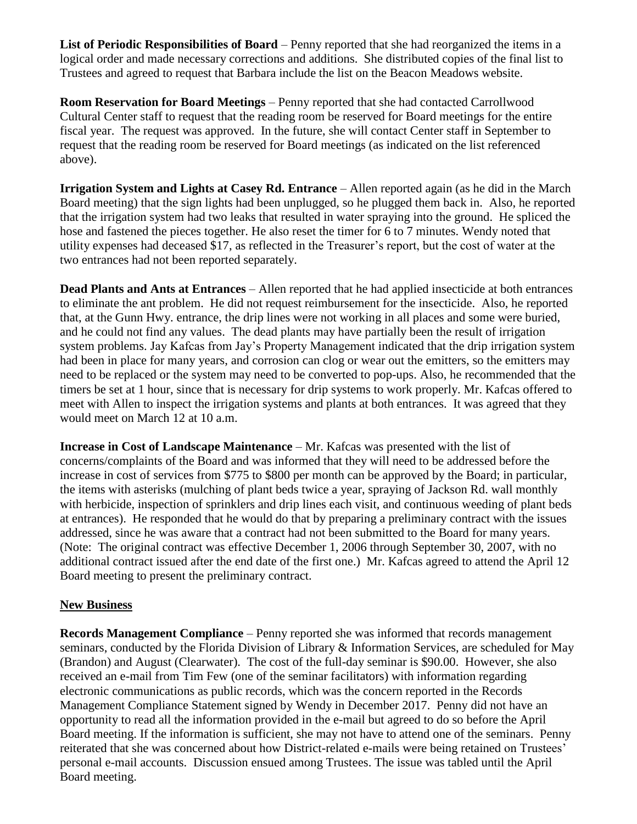**List of Periodic Responsibilities of Board** – Penny reported that she had reorganized the items in a logical order and made necessary corrections and additions. She distributed copies of the final list to Trustees and agreed to request that Barbara include the list on the Beacon Meadows website.

**Room Reservation for Board Meetings** – Penny reported that she had contacted Carrollwood Cultural Center staff to request that the reading room be reserved for Board meetings for the entire fiscal year. The request was approved. In the future, she will contact Center staff in September to request that the reading room be reserved for Board meetings (as indicated on the list referenced above).

**Irrigation System and Lights at Casey Rd. Entrance** – Allen reported again (as he did in the March Board meeting) that the sign lights had been unplugged, so he plugged them back in. Also, he reported that the irrigation system had two leaks that resulted in water spraying into the ground. He spliced the hose and fastened the pieces together. He also reset the timer for 6 to 7 minutes. Wendy noted that utility expenses had deceased \$17, as reflected in the Treasurer's report, but the cost of water at the two entrances had not been reported separately.

**Dead Plants and Ants at Entrances** – Allen reported that he had applied insecticide at both entrances to eliminate the ant problem. He did not request reimbursement for the insecticide. Also, he reported that, at the Gunn Hwy. entrance, the drip lines were not working in all places and some were buried, and he could not find any values. The dead plants may have partially been the result of irrigation system problems. Jay Kafcas from Jay's Property Management indicated that the drip irrigation system had been in place for many years, and corrosion can clog or wear out the emitters, so the emitters may need to be replaced or the system may need to be converted to pop-ups. Also, he recommended that the timers be set at 1 hour, since that is necessary for drip systems to work properly. Mr. Kafcas offered to meet with Allen to inspect the irrigation systems and plants at both entrances. It was agreed that they would meet on March 12 at 10 a.m.

**Increase in Cost of Landscape Maintenance** – Mr. Kafcas was presented with the list of concerns/complaints of the Board and was informed that they will need to be addressed before the increase in cost of services from \$775 to \$800 per month can be approved by the Board; in particular, the items with asterisks (mulching of plant beds twice a year, spraying of Jackson Rd. wall monthly with herbicide, inspection of sprinklers and drip lines each visit, and continuous weeding of plant beds at entrances). He responded that he would do that by preparing a preliminary contract with the issues addressed, since he was aware that a contract had not been submitted to the Board for many years. (Note: The original contract was effective December 1, 2006 through September 30, 2007, with no additional contract issued after the end date of the first one.) Mr. Kafcas agreed to attend the April 12 Board meeting to present the preliminary contract.

## **New Business**

**Records Management Compliance** – Penny reported she was informed that records management seminars, conducted by the Florida Division of Library & Information Services, are scheduled for May (Brandon) and August (Clearwater). The cost of the full-day seminar is \$90.00. However, she also received an e-mail from Tim Few (one of the seminar facilitators) with information regarding electronic communications as public records, which was the concern reported in the Records Management Compliance Statement signed by Wendy in December 2017. Penny did not have an opportunity to read all the information provided in the e-mail but agreed to do so before the April Board meeting. If the information is sufficient, she may not have to attend one of the seminars. Penny reiterated that she was concerned about how District-related e-mails were being retained on Trustees' personal e-mail accounts. Discussion ensued among Trustees. The issue was tabled until the April Board meeting.